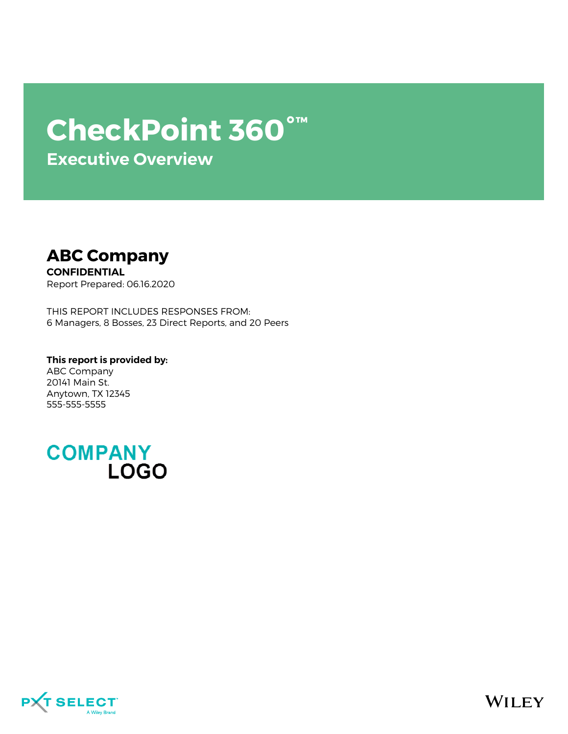# **CheckPoint 360°™**

**Executive Overview**



**CONFIDENTIAL** Report Prepared: 06.16.2020

THIS REPORT INCLUDES RESPONSES FROM: 6 Managers, 8 Bosses, 23 Direct Reports, and 20 Peers

**This report is provided by:** ABC Company 20141 Main St. Anytown, TX 12345 555-555-5555

**COMPANY LOGO** 



**WILEY**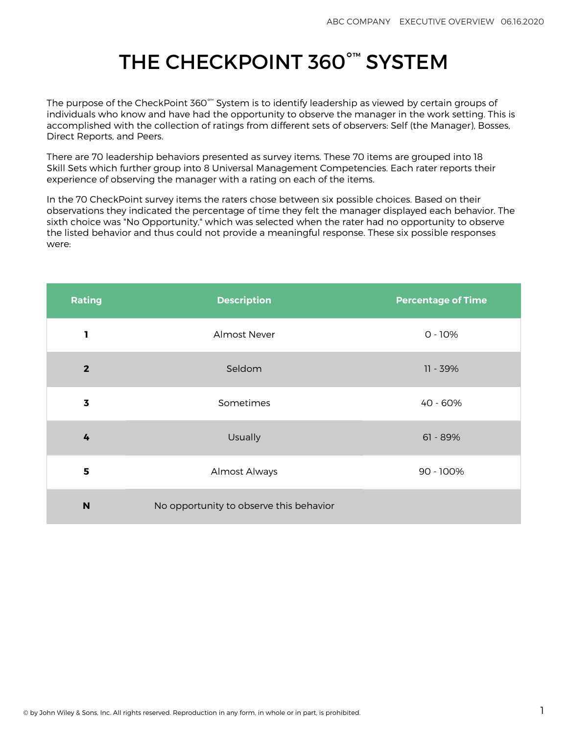## THE CHECKPOINT 360°™ SYSTEM

The purpose of the CheckPoint 360 $^{\circ\!\text{m}}$  System is to identify leadership as viewed by certain groups of individuals who know and have had the opportunity to observe the manager in the work setting. This is accomplished with the collection of ratings from different sets of observers: Self (the Manager), Bosses, Direct Reports, and Peers.

There are 70 leadership behaviors presented as survey items. These 70 items are grouped into 18 Skill Sets which further group into 8 Universal Management Competencies. Each rater reports their experience of observing the manager with a rating on each of the items.

In the 70 CheckPoint survey items the raters chose between six possible choices. Based on their observations they indicated the percentage of time they felt the manager displayed each behavior. The sixth choice was "No Opportunity," which was selected when the rater had no opportunity to observe the listed behavior and thus could not provide a meaningful response. These six possible responses were:

| Rating                  | <b>Description</b>                      | <b>Percentage of Time</b> |
|-------------------------|-----------------------------------------|---------------------------|
| 1                       | <b>Almost Never</b>                     | $0 - 10%$                 |
| $\overline{2}$          | Seldom                                  | 11 - 39%                  |
| $\overline{\mathbf{3}}$ | Sometimes                               | 40 - 60%                  |
| 4                       | Usually                                 | $61 - 89%$                |
| 5                       | Almost Always                           | 90 - 100%                 |
| N                       | No opportunity to observe this behavior |                           |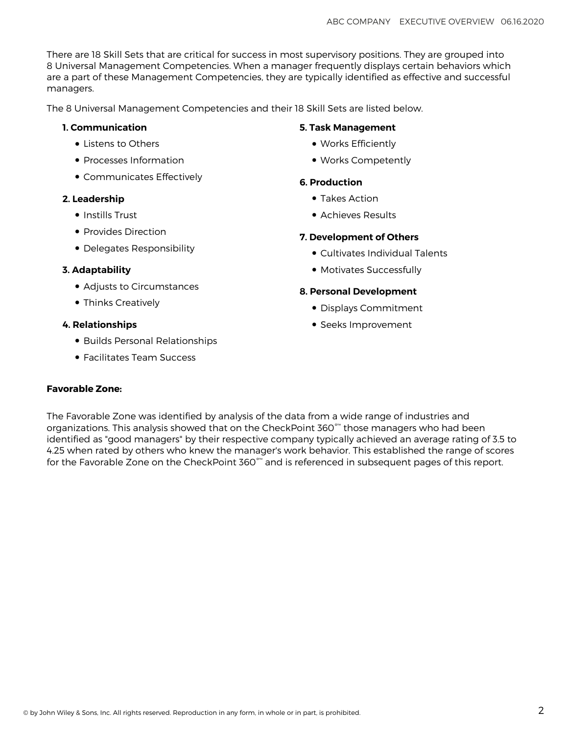There are 18 Skill Sets that are critical for success in most supervisory positions. They are grouped into 8 Universal Management Competencies. When a manager frequently displays certain behaviors which are a part of these Management Competencies, they are typically identified as effective and successful managers.

The 8 Universal Management Competencies and their 18 Skill Sets are listed below.

#### **1. Communication**

- Listens to Others
- Processes Information
- Communicates Effectively

#### **2. Leadership**

- Instills Trust
- Provides Direction
- Delegates Responsibility

#### **3. Adaptability**

- Adjusts to Circumstances
- Thinks Creatively

#### **4. Relationships**

- Builds Personal Relationships
- Facilitates Team Success

#### **Favorable Zone:**

### **5. Task Management**

- Works Efficiently
- Works Competently

#### **6. Production**

- Takes Action
- Achieves Results

#### **7. Development of Others**

- Cultivates Individual Talents
- Motivates Successfully

#### **8. Personal Development**

- Displays Commitment
- Seeks Improvement

The Favorable Zone was identified by analysis of the data from a wide range of industries and organizations. This analysis showed that on the CheckPoint 360°™ those managers who had been identified as "good managers" by their respective company typically achieved an average rating of 3.5 to 4.25 when rated by others who knew the manager's work behavior. This established the range of scores for the Favorable Zone on the CheckPoint 360™ and is referenced in subsequent pages of this report.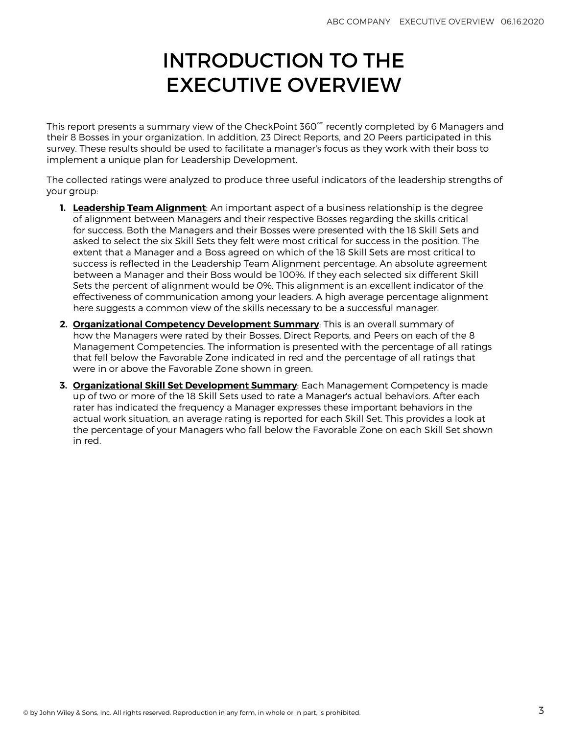### INTRODUCTION TO THE EXECUTIVE OVERVIEW

This report presents a summary view of the CheckPoint 360 $^{\circ\!\!\!\!\sim}$  recently completed by 6 Managers and their 8 Bosses in your organization. In addition, 23 Direct Reports, and 20 Peers participated in this survey. These results should be used to facilitate a manager's focus as they work with their boss to implement a unique plan for Leadership Development.

The collected ratings were analyzed to produce three useful indicators of the leadership strengths of your group:

- **1. [Leadership Team Alignment](#page-4-0)**: An important aspect of a business relationship is the degree of alignment between Managers and their respective Bosses regarding the skills critical for success. Both the Managers and their Bosses were presented with the 18 Skill Sets and asked to select the six Skill Sets they felt were most critical for success in the position. The extent that a Manager and a Boss agreed on which of the 18 Skill Sets are most critical to success is reflected in the Leadership Team Alignment percentage. An absolute agreement between a Manager and their Boss would be 100%. If they each selected six different Skill Sets the percent of alignment would be 0%. This alignment is an excellent indicator of the effectiveness of communication among your leaders. A high average percentage alignment here suggests a common view of the skills necessary to be a successful manager.
- **2. [Organizational Competency Development Summary](#page-5-0)**: This is an overall summary of how the Managers were rated by their Bosses, Direct Reports, and Peers on each of the 8 Management Competencies. The information is presented with the percentage of all ratings that fell below the Favorable Zone indicated in red and the percentage of all ratings that were in or above the Favorable Zone shown in green.
- **3. [Organizational Skill Set Development Summary](#page-6-0)**: Each Management Competency is made up of two or more of the 18 Skill Sets used to rate a Manager's actual behaviors. After each rater has indicated the frequency a Manager expresses these important behaviors in the actual work situation, an average rating is reported for each Skill Set. This provides a look at the percentage of your Managers who fall below the Favorable Zone on each Skill Set shown in red.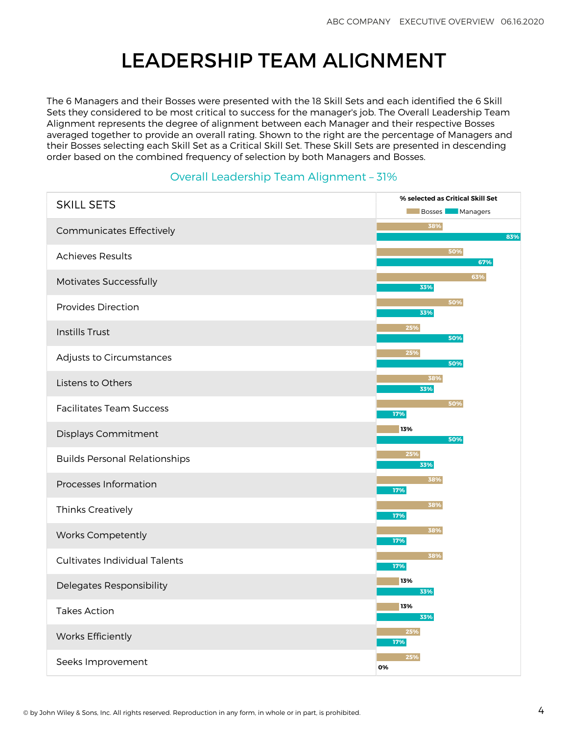### LEADERSHIP TEAM ALIGNMENT

<span id="page-4-0"></span>The 6 Managers and their Bosses were presented with the 18 Skill Sets and each identified the 6 Skill Sets they considered to be most critical to success for the manager's job. The Overall Leadership Team Alignment represents the degree of alignment between each Manager and their respective Bosses averaged together to provide an overall rating. Shown to the right are the percentage of Managers and their Bosses selecting each Skill Set as a Critical Skill Set. These Skill Sets are presented in descending order based on the combined frequency of selection by both Managers and Bosses.

#### Overall Leadership Team Alignment – 31%

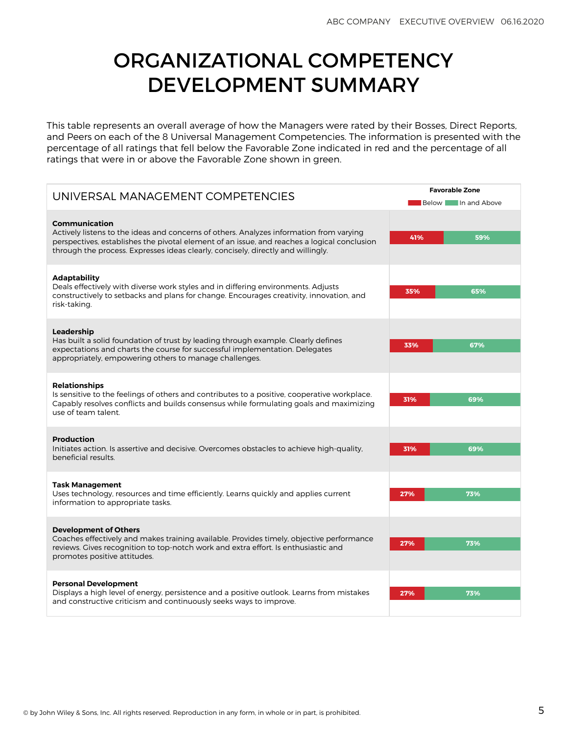### <span id="page-5-0"></span>ORGANIZATIONAL COMPETENCY DEVELOPMENT SUMMARY

This table represents an overall average of how the Managers were rated by their Bosses, Direct Reports, and Peers on each of the 8 Universal Management Competencies. The information is presented with the percentage of all ratings that fell below the Favorable Zone indicated in red and the percentage of all ratings that were in or above the Favorable Zone shown in green.

| UNIVERSAL MANAGEMENT COMPETENCIES                                                                                                                                                                                                                                                           | <b>Favorable Zone</b> |                           |
|---------------------------------------------------------------------------------------------------------------------------------------------------------------------------------------------------------------------------------------------------------------------------------------------|-----------------------|---------------------------|
|                                                                                                                                                                                                                                                                                             |                       | <b>Below</b> In and Above |
| Communication<br>Actively listens to the ideas and concerns of others. Analyzes information from varying<br>perspectives, establishes the pivotal element of an issue, and reaches a logical conclusion<br>through the process. Expresses ideas clearly, concisely, directly and willingly. | 41%                   | 59%                       |
| <b>Adaptability</b><br>Deals effectively with diverse work styles and in differing environments. Adjusts<br>constructively to setbacks and plans for change. Encourages creativity, innovation, and<br>risk-taking.                                                                         | 35%                   | 65%                       |
| Leadership<br>Has built a solid foundation of trust by leading through example. Clearly defines<br>expectations and charts the course for successful implementation. Delegates<br>appropriately, empowering others to manage challenges.                                                    | 33%                   | 67%                       |
| <b>Relationships</b><br>Is sensitive to the feelings of others and contributes to a positive, cooperative workplace.<br>Capably resolves conflicts and builds consensus while formulating goals and maximizing<br>use of team talent                                                        | 31%                   | 69%                       |
| <b>Production</b><br>Initiates action. Is assertive and decisive. Overcomes obstacles to achieve high-quality,<br>beneficial results.                                                                                                                                                       | 31%                   | 69%                       |
| <b>Task Management</b><br>Uses technology, resources and time efficiently. Learns quickly and applies current<br>information to appropriate tasks.                                                                                                                                          | 27%                   | 73%                       |
| <b>Development of Others</b><br>Coaches effectively and makes training available. Provides timely, objective performance<br>reviews. Gives recognition to top-notch work and extra effort. Is enthusiastic and<br>promotes positive attitudes.                                              | 27%                   | 73%                       |
| <b>Personal Development</b><br>Displays a high level of energy, persistence and a positive outlook. Learns from mistakes<br>and constructive criticism and continuously seeks ways to improve.                                                                                              | 27%                   | 73%                       |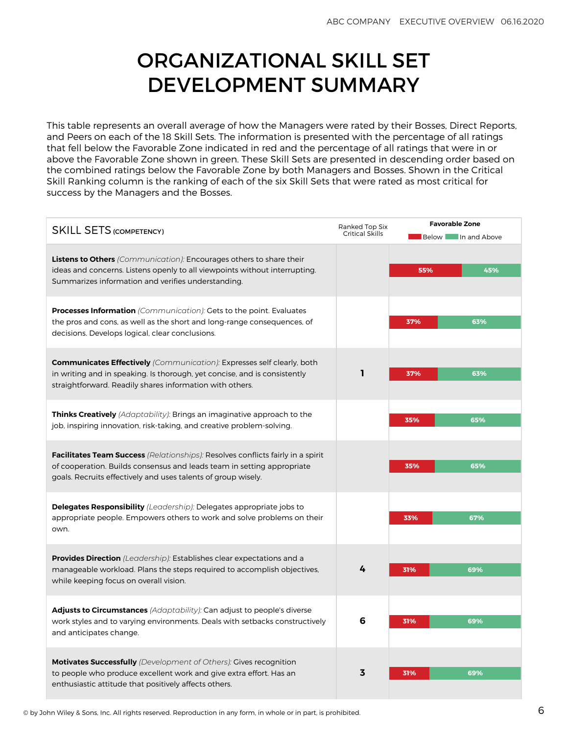### ORGANIZATIONAL SKILL SET DEVELOPMENT SUMMARY

<span id="page-6-0"></span>This table represents an overall average of how the Managers were rated by their Bosses, Direct Reports, and Peers on each of the 18 Skill Sets. The information is presented with the percentage of all ratings that fell below the Favorable Zone indicated in red and the percentage of all ratings that were in or above the Favorable Zone shown in green. These Skill Sets are presented in descending order based on the combined ratings below the Favorable Zone by both Managers and Bosses. Shown in the Critical Skill Ranking column is the ranking of each of the six Skill Sets that were rated as most critical for success by the Managers and the Bosses.

| Ranked Top Six<br><b>SKILL SETS (COMPETENCY)</b>                                                                                                                                                                                  |   | <b>Favorable Zone</b><br>Below In and Above |
|-----------------------------------------------------------------------------------------------------------------------------------------------------------------------------------------------------------------------------------|---|---------------------------------------------|
| <b>Listens to Others</b> (Communication): Encourages others to share their<br>ideas and concerns. Listens openly to all viewpoints without interrupting.<br>Summarizes information and verifies understanding.                    |   | 45%<br>55%                                  |
| Processes Information (Communication): Gets to the point. Evaluates<br>the pros and cons, as well as the short and long-range consequences, of<br>decisions. Develops logical, clear conclusions.                                 |   | 37%<br>63%                                  |
| <b>Communicates Effectively</b> (Communication): Expresses self clearly, both<br>in writing and in speaking. Is thorough, yet concise, and is consistently<br>straightforward. Readily shares information with others.            | ı | 37%<br>63%                                  |
| <b>Thinks Creatively</b> (Adaptability): Brings an imaginative approach to the<br>job, inspiring innovation, risk-taking, and creative problem-solving.                                                                           |   | 35%<br>65%                                  |
| <b>Facilitates Team Success</b> (Relationships): Resolves conflicts fairly in a spirit<br>of cooperation. Builds consensus and leads team in setting appropriate<br>goals. Recruits effectively and uses talents of group wisely. |   | 65%<br>35%                                  |
| <b>Delegates Responsibility</b> (Leadership): Delegates appropriate jobs to<br>appropriate people. Empowers others to work and solve problems on their<br>own.                                                                    |   | 33%<br>67%                                  |
| <b>Provides Direction</b> (Leadership): Establishes clear expectations and a<br>manageable workload. Plans the steps required to accomplish objectives,<br>while keeping focus on overall vision.                                 | 4 | 31%<br>69%                                  |
| <b>Adjusts to Circumstances</b> (Adaptability): Can adjust to people's diverse<br>work styles and to varying environments. Deals with setbacks constructively<br>and anticipates change.                                          | 6 | 69%<br>31%                                  |
| <b>Motivates Successfully</b> (Development of Others): Gives recognition<br>to people who produce excellent work and give extra effort. Has an<br>enthusiastic attitude that positively affects others.                           | 3 | 69%<br>31%                                  |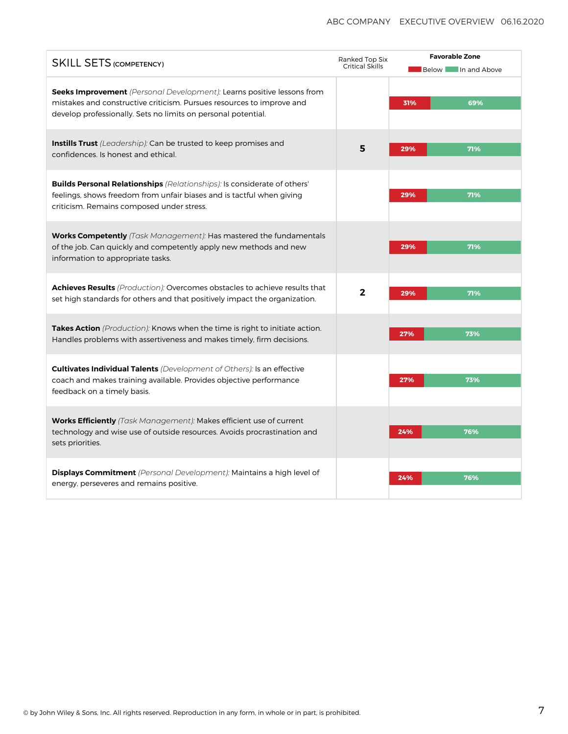| <b>SKILL SETS (COMPETENCY)</b>                                                                                                                                                                                          |                | <b>Favorable Zone</b><br><b>Below</b> In and Above |  |
|-------------------------------------------------------------------------------------------------------------------------------------------------------------------------------------------------------------------------|----------------|----------------------------------------------------|--|
| <b>Seeks Improvement</b> (Personal Development): Learns positive lessons from<br>mistakes and constructive criticism. Pursues resources to improve and<br>develop professionally. Sets no limits on personal potential. |                | 69%<br>31%                                         |  |
| <b>Instills Trust</b> (Leadership): Can be trusted to keep promises and<br>confidences. Is honest and ethical.                                                                                                          | 5              | 71%<br>29%                                         |  |
| <b>Builds Personal Relationships</b> (Relationships): Is considerate of others'<br>feelings, shows freedom from unfair biases and is tactful when giving<br>criticism. Remains composed under stress.                   |                | 71%<br>29%                                         |  |
| <b>Works Competently</b> (Task Management): Has mastered the fundamentals<br>of the job. Can quickly and competently apply new methods and new<br>information to appropriate tasks.                                     |                | 29%<br>71%                                         |  |
| Achieves Results (Production): Overcomes obstacles to achieve results that<br>set high standards for others and that positively impact the organization.                                                                | $\overline{2}$ | 29%<br>71%                                         |  |
| Takes Action (Production): Knows when the time is right to initiate action.<br>Handles problems with assertiveness and makes timely, firm decisions.                                                                    |                | 27%<br>73%                                         |  |
| <b>Cultivates Individual Talents</b> (Development of Others): Is an effective<br>coach and makes training available. Provides objective performance<br>feedback on a timely basis.                                      |                | 27%<br>73%                                         |  |
| Works Efficiently (Task Management): Makes efficient use of current<br>technology and wise use of outside resources. Avoids procrastination and<br>sets priorities.                                                     |                | 24%<br>76%                                         |  |
| <b>Displays Commitment</b> (Personal Development): Maintains a high level of<br>energy, perseveres and remains positive.                                                                                                |                | 24%<br>76%                                         |  |